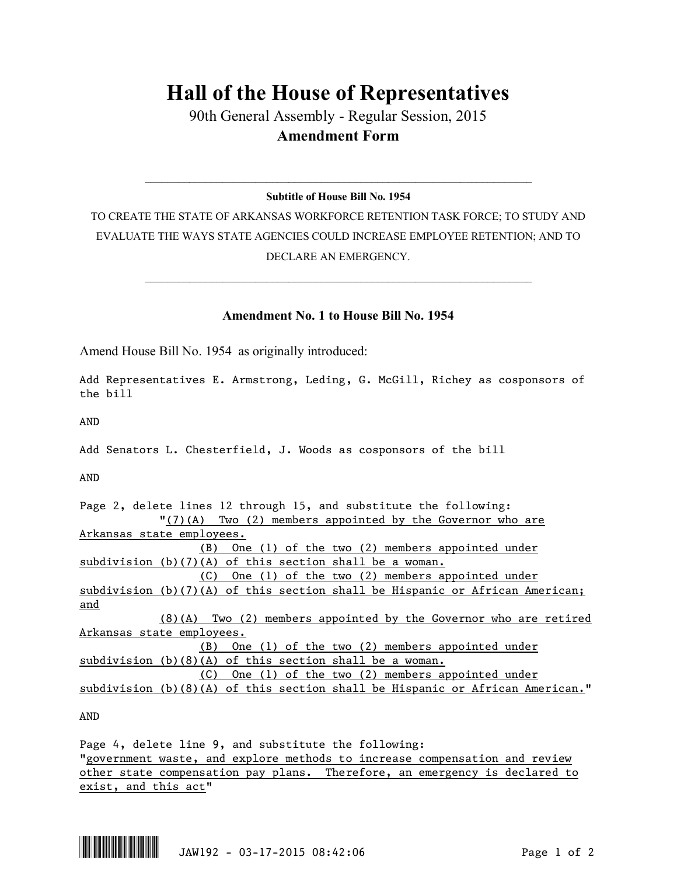## **Hall of the House of Representatives**

90th General Assembly - Regular Session, 2015 **Amendment Form**

## $\_$  , and the set of the set of the set of the set of the set of the set of the set of the set of the set of the set of the set of the set of the set of the set of the set of the set of the set of the set of the set of th **Subtitle of House Bill No. 1954**

TO CREATE THE STATE OF ARKANSAS WORKFORCE RETENTION TASK FORCE; TO STUDY AND EVALUATE THE WAYS STATE AGENCIES COULD INCREASE EMPLOYEE RETENTION; AND TO DECLARE AN EMERGENCY.

## **Amendment No. 1 to House Bill No. 1954**

 $\_$  , and the set of the set of the set of the set of the set of the set of the set of the set of the set of the set of the set of the set of the set of the set of the set of the set of the set of the set of the set of th

Amend House Bill No. 1954 as originally introduced:

Add Representatives E. Armstrong, Leding, G. McGill, Richey as cosponsors of the bill

AND

Add Senators L. Chesterfield, J. Woods as cosponsors of the bill

AND

| Page 2, delete lines 12 through 15, and substitute the following:               |
|---------------------------------------------------------------------------------|
| $"(7)(A)$ Two (2) members appointed by the Governor who are                     |
| Arkansas state employees.                                                       |
| One (1) of the two $(2)$ members appointed under<br>(B)                         |
| subdivision $(b)(7)(A)$ of this section shall be a woman.                       |
| One (1) of the two $(2)$ members appointed under<br>(C)                         |
| subdivision (b)(7)(A) of this section shall be Hispanic or African American;    |
| and                                                                             |
| $(8)(A)$ Two $(2)$ members appointed by the Governor who are retired            |
| Arkansas state employees.                                                       |
| One (1) of the two $(2)$ members appointed under<br>(B)                         |
| subdivision $(b)(8)(A)$ of this section shall be a woman.                       |
| One (1) of the two $(2)$ members appointed under<br>(C)                         |
| subdivision $(b)(8)(A)$ of this section shall be Hispanic or African American." |
|                                                                                 |

AND

Page 4, delete line 9, and substitute the following: "government waste, and explore methods to increase compensation and review other state compensation pay plans. Therefore, an emergency is declared to exist, and this act"